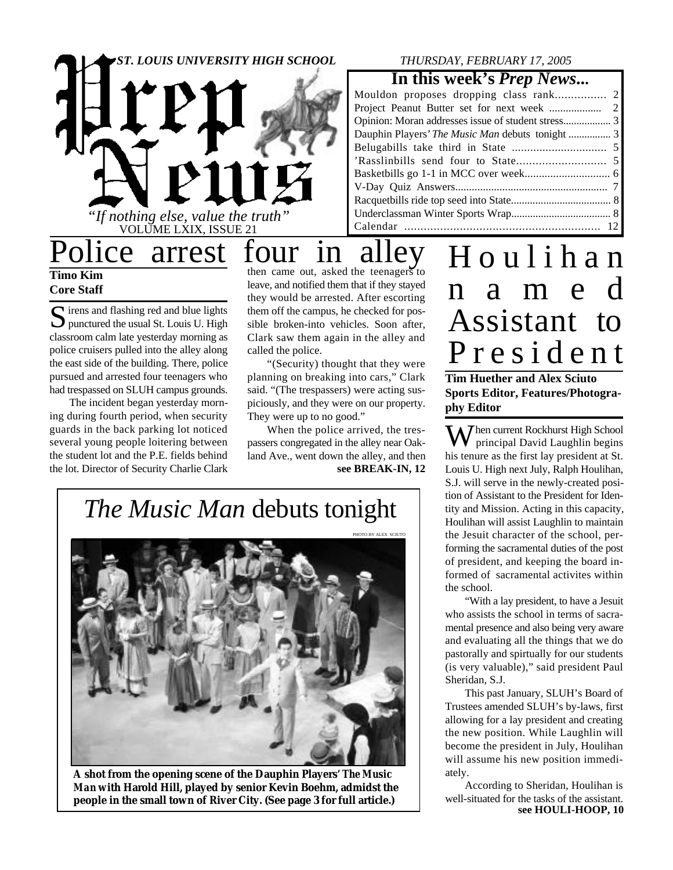# *"If nothing else, value the truth"* VOLUME LXIX, ISSUE 21 *ST. LOUIS UNIVERSITY HIGH SCHOOL*

#### *THURSDAY, FEBRUARY 17, 2005*

**In this week's** *Prep News***...**

| Dauphin Players' <i>The Music Man</i> debuts tonight  3 |  |
|---------------------------------------------------------|--|
|                                                         |  |
|                                                         |  |
|                                                         |  |
|                                                         |  |
|                                                         |  |
|                                                         |  |
|                                                         |  |
|                                                         |  |

**Timo Kim Core Staff**

 $S$  irens and flashing red and blue lights<br>punctured the usual St. Louis U. High **D** punctured the usual St. Louis U. High classroom calm late yesterday morning as police cruisers pulled into the alley along the east side of the building. There, police pursued and arrested four teenagers who had trespassed on SLUH campus grounds.

The incident began yesterday morning during fourth period, when security guards in the back parking lot noticed several young people loitering between the student lot and the P.E. fields behind the lot. Director of Security Charlie Clark

Police arrest four in alley then came out, asked the teenagers to leave, and notified them that if they stayed they would be arrested. After escorting them off the campus, he checked for possible broken-into vehicles. Soon after, Clark saw them again in the alley and called the police.

"(Security) thought that they were planning on breaking into cars," Clark said. "(The trespassers) were acting suspiciously, and they were on our property. They were up to no good."

**see BREAK-IN, 12** When the police arrived, the trespassers congregated in the alley near Oakland Ave., went down the alley, and then

### *The Music Man* debuts tonight



**A shot from the opening scene of the Dauphin Players'** *The Music Man* **with Harold Hill, played by senior Kevin Boehm, admidst the people in the small town of River City. (See page 3 for full article.)**

H o u l i h a n n a m e d Assistant to P r e s i d e n t

**Tim Huether and Alex Sciuto Sports Editor, Features/Photography Editor**

**X** *J* hen current Rockhurst High School principal David Laughlin begins his tenure as the first lay president at St. Louis U. High next July, Ralph Houlihan, S.J. will serve in the newly-created position of Assistant to the President for Identity and Mission. Acting in this capacity, Houlihan will assist Laughlin to maintain the Jesuit character of the school, performing the sacramental duties of the post of president, and keeping the board informed of sacramental activites within the school.

"With a lay president, to have a Jesuit who assists the school in terms of sacramental presence and also being very aware and evaluating all the things that we do pastorally and spirtually for our students (is very valuable)," said president Paul Sheridan, S.J.

This past January, SLUH's Board of Trustees amended SLUH's by-laws, first allowing for a lay president and creating the new position. While Laughlin will become the president in July, Houlihan will assume his new position immediately.

**see HOULI-HOOP, 10** According to Sheridan, Houlihan is well-situated for the tasks of the assistant.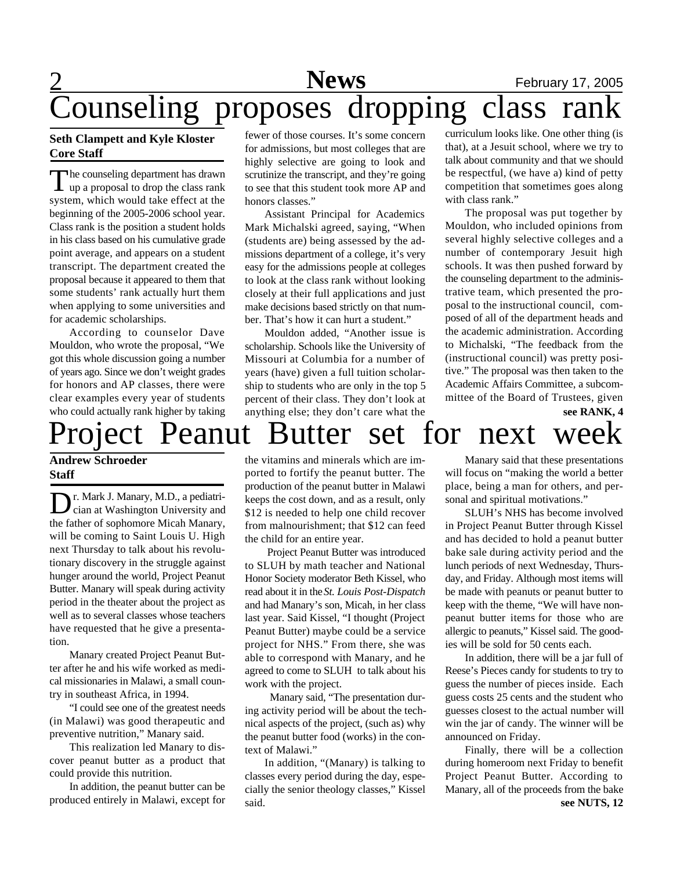### 2 **News** February 17, 2005 Counseling proposes dropping class rank

#### **Seth Clampett and Kyle Kloster Core Staff**

The counseling department has drawn<br>up a proposal to drop the class rank he counseling department has drawn system, which would take effect at the beginning of the 2005-2006 school year. Class rank is the position a student holds in his class based on his cumulative grade point average, and appears on a student transcript. The department created the proposal because it appeared to them that some students' rank actually hurt them when applying to some universities and for academic scholarships.

According to counselor Dave Mouldon, who wrote the proposal, "We got this whole discussion going a number of years ago. Since we don't weight grades for honors and AP classes, there were clear examples every year of students who could actually rank higher by taking

### **Andrew Schroeder Staff**

Dr. Mark J. Manary, M.D., a pediatrican at Washington University and r. Mark J. Manary, M.D., a pediatrithe father of sophomore Micah Manary, will be coming to Saint Louis U. High next Thursday to talk about his revolutionary discovery in the struggle against hunger around the world, Project Peanut Butter. Manary will speak during activity period in the theater about the project as well as to several classes whose teachers have requested that he give a presentation.

Manary created Project Peanut Butter after he and his wife worked as medical missionaries in Malawi, a small country in southeast Africa, in 1994.

"I could see one of the greatest needs (in Malawi) was good therapeutic and preventive nutrition," Manary said.

This realization led Manary to discover peanut butter as a product that could provide this nutrition.

In addition, the peanut butter can be produced entirely in Malawi, except for fewer of those courses. It's some concern for admissions, but most colleges that are highly selective are going to look and scrutinize the transcript, and they're going to see that this student took more AP and honors classes."

Assistant Principal for Academics Mark Michalski agreed, saying, "When (students are) being assessed by the admissions department of a college, it's very easy for the admissions people at colleges to look at the class rank without looking closely at their full applications and just make decisions based strictly on that number. That's how it can hurt a student."

Mouldon added, "Another issue is scholarship. Schools like the University of Missouri at Columbia for a number of years (have) given a full tuition scholarship to students who are only in the top 5 percent of their class. They don't look at anything else; they don't care what the

curriculum looks like. One other thing (is that), at a Jesuit school, where we try to talk about community and that we should be respectful, (we have a) kind of petty competition that sometimes goes along with class rank."

The proposal was put together by Mouldon, who included opinions from several highly selective colleges and a number of contemporary Jesuit high schools. It was then pushed forward by the counseling department to the administrative team, which presented the proposal to the instructional council, composed of all of the department heads and the academic administration. According to Michalski, "The feedback from the (instructional council) was pretty positive." The proposal was then taken to the Academic Affairs Committee, a subcommittee of the Board of Trustees, given

**see RANK, 4**

Project Peanut Butter set for next week the vitamins and minerals which are imported to fortify the peanut butter. The production of the peanut butter in Malawi keeps the cost down, and as a result, only \$12 is needed to help one child recover

from malnourishment; that \$12 can feed

the child for an entire year. Project Peanut Butter was introduced to SLUH by math teacher and National Honor Society moderator Beth Kissel, who read about it in the *St. Louis Post-Dispatch* and had Manary's son, Micah, in her class last year. Said Kissel, "I thought (Project Peanut Butter) maybe could be a service project for NHS." From there, she was able to correspond with Manary, and he agreed to come to SLUH to talk about his work with the project.

 Manary said, "The presentation during activity period will be about the technical aspects of the project, (such as) why the peanut butter food (works) in the context of Malawi."

In addition, "(Manary) is talking to classes every period during the day, especially the senior theology classes," Kissel said.

Manary said that these presentations will focus on "making the world a better place, being a man for others, and personal and spiritual motivations."

SLUH's NHS has become involved in Project Peanut Butter through Kissel and has decided to hold a peanut butter bake sale during activity period and the lunch periods of next Wednesday, Thursday, and Friday. Although most items will be made with peanuts or peanut butter to keep with the theme, "We will have nonpeanut butter items for those who are allergic to peanuts," Kissel said. The goodies will be sold for 50 cents each.

In addition, there will be a jar full of Reese's Pieces candy for students to try to guess the number of pieces inside. Each guess costs 25 cents and the student who guesses closest to the actual number will win the jar of candy. The winner will be announced on Friday.

**see NUTS, 12** Finally, there will be a collection during homeroom next Friday to benefit Project Peanut Butter. According to Manary, all of the proceeds from the bake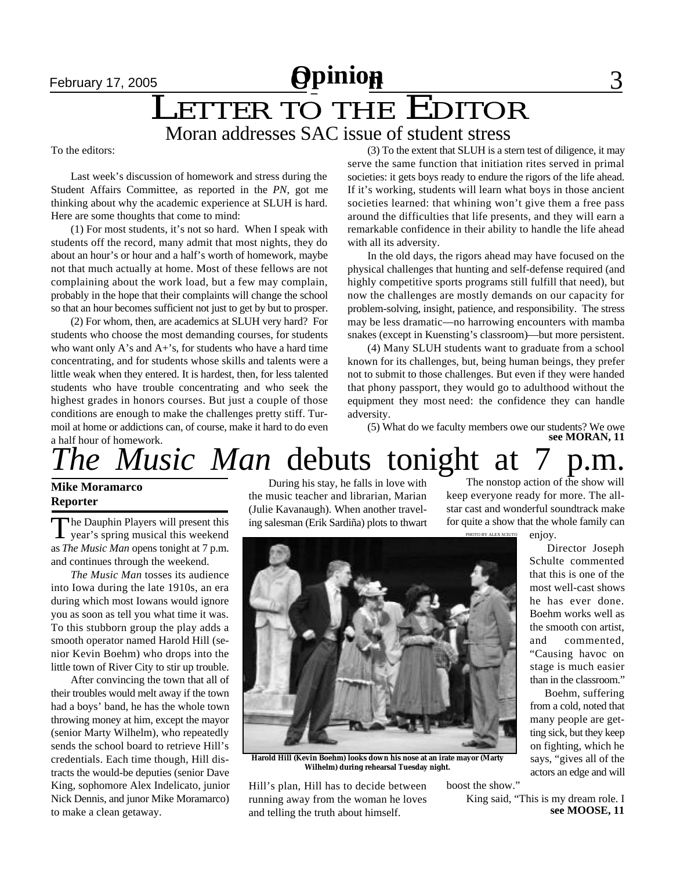### **February 17, 2005 Opinion** 3 February 17, 2005<br> **LETTER TO THE EDITOR** Moran addresses SAC issue of student stress

To the editors:

Last week's discussion of homework and stress during the Student Affairs Committee, as reported in the *PN*, got me thinking about why the academic experience at SLUH is hard. Here are some thoughts that come to mind:

(1) For most students, it's not so hard. When I speak with students off the record, many admit that most nights, they do about an hour's or hour and a half's worth of homework, maybe not that much actually at home. Most of these fellows are not complaining about the work load, but a few may complain, probably in the hope that their complaints will change the school so that an hour becomes sufficient not just to get by but to prosper.

(2) For whom, then, are academics at SLUH very hard? For students who choose the most demanding courses, for students who want only  $A$ 's and  $A+$ 's, for students who have a hard time concentrating, and for students whose skills and talents were a little weak when they entered. It is hardest, then, for less talented students who have trouble concentrating and who seek the highest grades in honors courses. But just a couple of those conditions are enough to make the challenges pretty stiff. Turmoil at home or addictions can, of course, make it hard to do even a half hour of homework.

(3) To the extent that SLUH is a stern test of diligence, it may serve the same function that initiation rites served in primal societies: it gets boys ready to endure the rigors of the life ahead. If it's working, students will learn what boys in those ancient societies learned: that whining won't give them a free pass around the difficulties that life presents, and they will earn a remarkable confidence in their ability to handle the life ahead with all its adversity.

In the old days, the rigors ahead may have focused on the physical challenges that hunting and self-defense required (and highly competitive sports programs still fulfill that need), but now the challenges are mostly demands on our capacity for problem-solving, insight, patience, and responsibility. The stress may be less dramatic—no harrowing encounters with mamba snakes (except in Kuensting's classroom)—but more persistent.

(4) Many SLUH students want to graduate from a school known for its challenges, but, being human beings, they prefer not to submit to those challenges. But even if they were handed that phony passport, they would go to adulthood without the equipment they most need: the confidence they can handle adversity.

(5) What do we faculty members owe our students? We owe **see MORAN, 11**

# *The Music Man* debuts tonight at

#### **Mike Moramarco Reporter**

The Dauphin Players will present this<br>year's spring musical this weekend The Dauphin Players will present this as *The Music Man* opens tonight at 7 p.m. and continues through the weekend.

*The Music Man* tosses its audience into Iowa during the late 1910s, an era during which most Iowans would ignore you as soon as tell you what time it was. To this stubborn group the play adds a smooth operator named Harold Hill (senior Kevin Boehm) who drops into the little town of River City to stir up trouble.

After convincing the town that all of their troubles would melt away if the town had a boys' band, he has the whole town throwing money at him, except the mayor (senior Marty Wilhelm), who repeatedly sends the school board to retrieve Hill's credentials. Each time though, Hill distracts the would-be deputies (senior Dave King, sophomore Alex Indelicato, junior Nick Dennis, and junor Mike Moramarco) to make a clean getaway.

During his stay, he falls in love with the music teacher and librarian, Marian (Julie Kavanaugh). When another traveling salesman (Erik Sardiña) plots to thwart

TO BY ALEX SCIUTO The nonstop action of the show will keep everyone ready for more. The allstar cast and wonderful soundtrack make for quite a show that the whole family can

enjoy. Director Joseph

Schulte commented that this is one of the most well-cast shows he has ever done. Boehm works well as the smooth con artist, and commented, "Causing havoc on stage is much easier than in the classroom."

 Boehm, suffering from a cold, noted that many people are getting sick, but they keep on fighting, which he says, "gives all of the actors an edge and will

**Harold Hill (Kevin Boehm) looks down his nose at an irate mayor (Marty Wilhelm) during rehearsal Tuesday night.**

Hill's plan, Hill has to decide between running away from the woman he loves and telling the truth about himself.

boost the show."

**see MOOSE, 11** King said, "This is my dream role. I

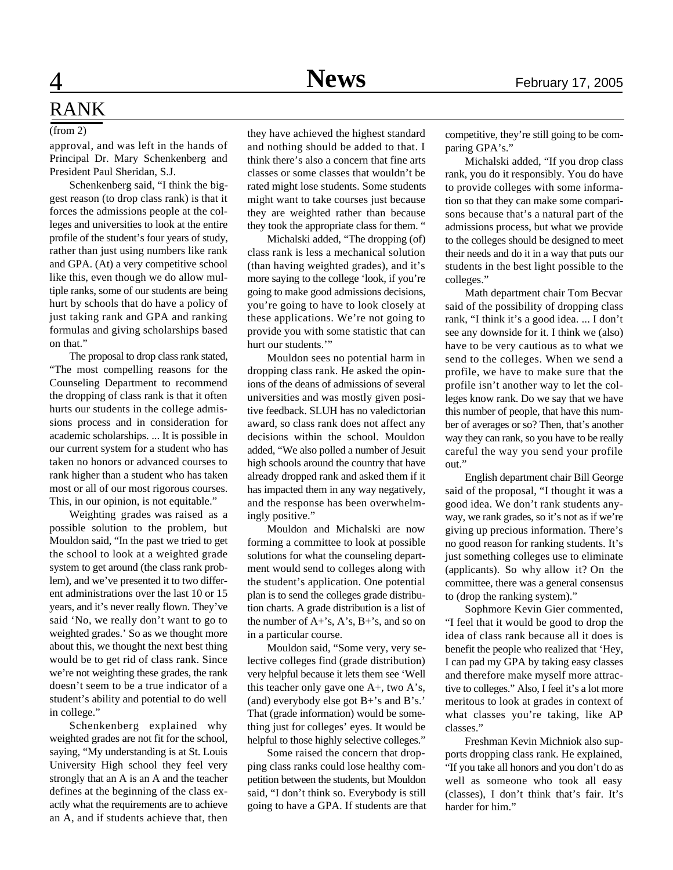### RANK

#### (from 2)

approval, and was left in the hands of Principal Dr. Mary Schenkenberg and President Paul Sheridan, S.J.

Schenkenberg said, "I think the biggest reason (to drop class rank) is that it forces the admissions people at the colleges and universities to look at the entire profile of the student's four years of study, rather than just using numbers like rank and GPA. (At) a very competitive school like this, even though we do allow multiple ranks, some of our students are being hurt by schools that do have a policy of just taking rank and GPA and ranking formulas and giving scholarships based on that."

The proposal to drop class rank stated, "The most compelling reasons for the Counseling Department to recommend the dropping of class rank is that it often hurts our students in the college admissions process and in consideration for academic scholarships. ... It is possible in our current system for a student who has taken no honors or advanced courses to rank higher than a student who has taken most or all of our most rigorous courses. This, in our opinion, is not equitable."

Weighting grades was raised as a possible solution to the problem, but Mouldon said, "In the past we tried to get the school to look at a weighted grade system to get around (the class rank problem), and we've presented it to two different administrations over the last 10 or 15 years, and it's never really flown. They've said 'No, we really don't want to go to weighted grades.' So as we thought more about this, we thought the next best thing would be to get rid of class rank. Since we're not weighting these grades, the rank doesn't seem to be a true indicator of a student's ability and potential to do well in college."

Schenkenberg explained why weighted grades are not fit for the school, saying, "My understanding is at St. Louis University High school they feel very strongly that an A is an A and the teacher defines at the beginning of the class exactly what the requirements are to achieve an A, and if students achieve that, then

they have achieved the highest standard and nothing should be added to that. I think there's also a concern that fine arts classes or some classes that wouldn't be rated might lose students. Some students might want to take courses just because they are weighted rather than because they took the appropriate class for them. "

Michalski added, "The dropping (of) class rank is less a mechanical solution (than having weighted grades), and it's more saying to the college 'look, if you're going to make good admissions decisions, you're going to have to look closely at these applications. We're not going to provide you with some statistic that can hurt our students.""

Mouldon sees no potential harm in dropping class rank. He asked the opinions of the deans of admissions of several universities and was mostly given positive feedback. SLUH has no valedictorian award, so class rank does not affect any decisions within the school. Mouldon added, "We also polled a number of Jesuit high schools around the country that have already dropped rank and asked them if it has impacted them in any way negatively, and the response has been overwhelmingly positive."

Mouldon and Michalski are now forming a committee to look at possible solutions for what the counseling department would send to colleges along with the student's application. One potential plan is to send the colleges grade distribution charts. A grade distribution is a list of the number of A+'s, A's, B+'s, and so on in a particular course.

Mouldon said, "Some very, very selective colleges find (grade distribution) very helpful because it lets them see 'Well this teacher only gave one A+, two A's, (and) everybody else got B+'s and B's.' That (grade information) would be something just for colleges' eyes. It would be helpful to those highly selective colleges."

Some raised the concern that dropping class ranks could lose healthy competition between the students, but Mouldon said, "I don't think so. Everybody is still going to have a GPA. If students are that competitive, they're still going to be comparing GPA's."

Michalski added, "If you drop class rank, you do it responsibly. You do have to provide colleges with some information so that they can make some comparisons because that's a natural part of the admissions process, but what we provide to the colleges should be designed to meet their needs and do it in a way that puts our students in the best light possible to the colleges."

Math department chair Tom Becvar said of the possibility of dropping class rank, "I think it's a good idea. ... I don't see any downside for it. I think we (also) have to be very cautious as to what we send to the colleges. When we send a profile, we have to make sure that the profile isn't another way to let the colleges know rank. Do we say that we have this number of people, that have this number of averages or so? Then, that's another way they can rank, so you have to be really careful the way you send your profile out."

English department chair Bill George said of the proposal, "I thought it was a good idea. We don't rank students anyway, we rank grades, so it's not as if we're giving up precious information. There's no good reason for ranking students. It's just something colleges use to eliminate (applicants). So why allow it? On the committee, there was a general consensus to (drop the ranking system)."

Sophmore Kevin Gier commented, "I feel that it would be good to drop the idea of class rank because all it does is benefit the people who realized that 'Hey, I can pad my GPA by taking easy classes and therefore make myself more attractive to colleges." Also, I feel it's a lot more meritous to look at grades in context of what classes you're taking, like AP classes."

Freshman Kevin Michniok also supports dropping class rank. He explained, "If you take all honors and you don't do as well as someone who took all easy (classes), I don't think that's fair. It's harder for him."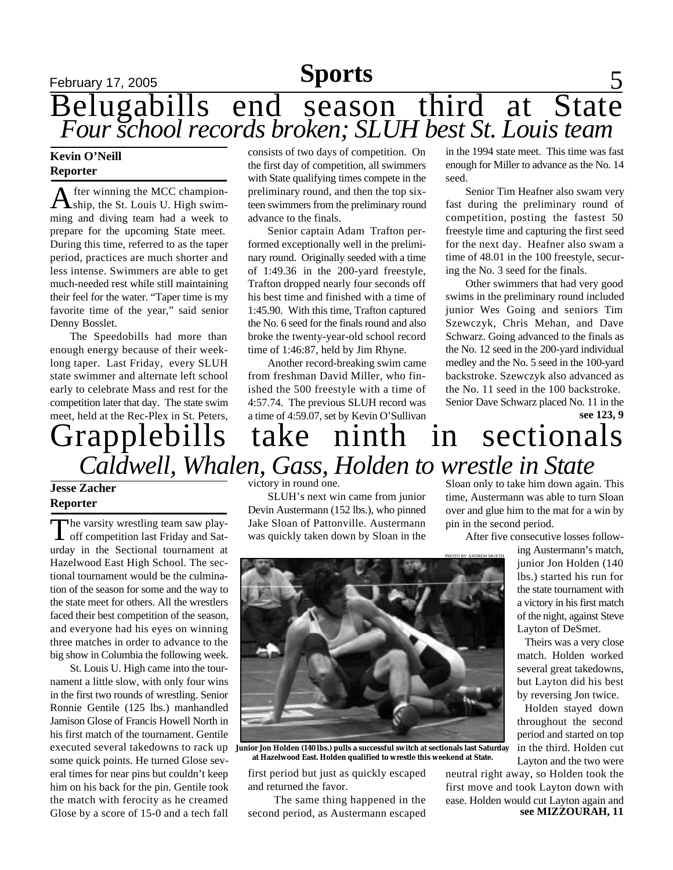### **Sports**

### **February 17, 2005 Sports** 5 Belugabills end season third at State *Four school records broken; SLUH best St. Louis team*

#### **Kevin O'Neill Reporter**

A fter winning the MCC champion-<br>Aship, the St. Louis U. High swimfter winning the MCC championming and diving team had a week to prepare for the upcoming State meet. During this time, referred to as the taper period, practices are much shorter and less intense. Swimmers are able to get much-needed rest while still maintaining their feel for the water. "Taper time is my favorite time of the year," said senior Denny Bosslet.

The Speedobills had more than enough energy because of their weeklong taper. Last Friday, every SLUH state swimmer and alternate left school early to celebrate Mass and rest for the competition later that day. The state swim meet, held at the Rec-Plex in St. Peters, consists of two days of competition. On the first day of competition, all swimmers with State qualifying times compete in the preliminary round, and then the top sixteen swimmers from the preliminary round advance to the finals.

Senior captain Adam Trafton performed exceptionally well in the preliminary round. Originally seeded with a time of 1:49.36 in the 200-yard freestyle, Trafton dropped nearly four seconds off his best time and finished with a time of 1:45.90. With this time, Trafton captured the No. 6 seed for the finals round and also broke the twenty-year-old school record time of 1:46:87, held by Jim Rhyne.

Another record-breaking swim came from freshman David Miller, who finished the 500 freestyle with a time of 4:57.74. The previous SLUH record was a time of 4:59.07, set by Kevin O'Sullivan in the 1994 state meet. This time was fast enough for Miller to advance as the No. 14 seed.

Senior Tim Heafner also swam very fast during the preliminary round of competition, posting the fastest 50 freestyle time and capturing the first seed for the next day. Heafner also swam a time of 48.01 in the 100 freestyle, securing the No. 3 seed for the finals.

Other swimmers that had very good swims in the preliminary round included junior Wes Going and seniors Tim Szewczyk, Chris Mehan, and Dave Schwarz. Going advanced to the finals as the No. 12 seed in the 200-yard individual medley and the No. 5 seed in the 100-yard backstroke. Szewczyk also advanced as the No. 11 seed in the 100 backstroke.

**see 123, 9** Senior Dave Schwarz placed No. 11 in the

### Grapplebills take ninth in sectionals *Caldwell, Whalen, Gass, Holden to wrestle in State*

#### **Jesse Zacher Reporter**

The varsity wrestling team saw play-<br>off competition last Friday and Sathe varsity wrestling team saw playurday in the Sectional tournament at Hazelwood East High School. The sectional tournament would be the culmination of the season for some and the way to the state meet for others. All the wrestlers faced their best competition of the season, and everyone had his eyes on winning three matches in order to advance to the big show in Columbia the following week.

St. Louis U. High came into the tournament a little slow, with only four wins in the first two rounds of wrestling. Senior Ronnie Gentile (125 lbs.) manhandled Jamison Glose of Francis Howell North in his first match of the tournament. Gentile some quick points. He turned Glose several times for near pins but couldn't keep him on his back for the pin. Gentile took the match with ferocity as he creamed Glose by a score of 15-0 and a tech fall

victory in round one.

SLUH's next win came from junior Devin Austermann (152 lbs.), who pinned Jake Sloan of Pattonville. Austermann was quickly taken down by Sloan in the



executed several takedowns to rack up Juni<mark>or Jon Holden (140 lbs.) pulls a successful switch at sectionals last Saturday</mark> **at Hazelwood East. Holden qualified to wrestle this weekend at State.**

first period but just as quickly escaped and returned the favor.

 The same thing happened in the second period, as Austermann escaped

Sloan only to take him down again. This time, Austermann was able to turn Sloan over and glue him to the mat for a win by pin in the second period.

After five consecutive losses follow-

ing Austermann's match, junior Jon Holden (140 lbs.) started his run for the state tournament with a victory in his first match of the night, against Steve Layton of DeSmet.

Theirs was a very close match. Holden worked several great takedowns, but Layton did his best by reversing Jon twice.

Holden stayed down throughout the second period and started on top in the third. Holden cut Layton and the two were

neutral right away, so Holden took the first move and took Layton down with ease. Holden would cut Layton again and **see MIZZOURAH, 11**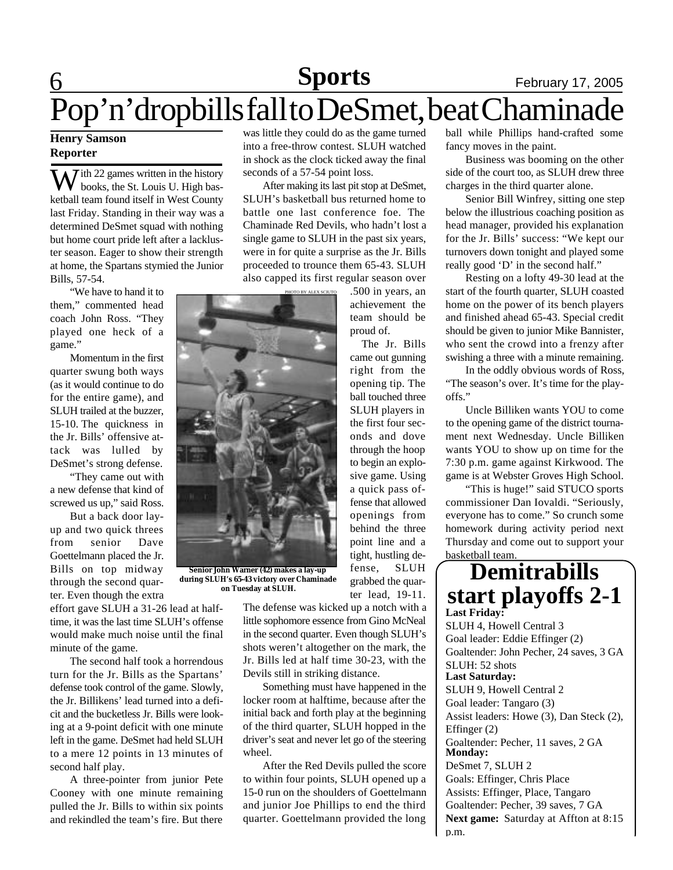### **6 News Sports** February 17, 2005 Pop'n'dropbills fall to DeSmet, beat Chaminade **Sports**

#### **Henry Samson Reporter**

W ith 22 games written in the history<br>books, the St. Louis U. High basketball team found itself in West County last Friday. Standing in their way was a determined DeSmet squad with nothing but home court pride left after a lackluster season. Eager to show their strength at home, the Spartans stymied the Junior Bills, 57-54.

"We have to hand it to them," commented head coach John Ross. "They played one heck of a game."

Momentum in the first quarter swung both ways (as it would continue to do for the entire game), and SLUH trailed at the buzzer, 15-10. The quickness in the Jr. Bills' offensive attack was lulled by DeSmet's strong defense.

"They came out with a new defense that kind of screwed us up," said Ross.

But a back door layup and two quick threes from senior Dave Goettelmann placed the Jr. Bills on top midway through the second quarter. Even though the extra

effort gave SLUH a 31-26 lead at halftime, it was the last time SLUH's offense would make much noise until the final minute of the game.

The second half took a horrendous turn for the Jr. Bills as the Spartans' defense took control of the game. Slowly, the Jr. Billikens' lead turned into a deficit and the bucketless Jr. Bills were looking at a 9-point deficit with one minute left in the game. DeSmet had held SLUH to a mere 12 points in 13 minutes of second half play.

A three-pointer from junior Pete Cooney with one minute remaining pulled the Jr. Bills to within six points and rekindled the team's fire. But there was little they could do as the game turned into a free-throw contest. SLUH watched in shock as the clock ticked away the final seconds of a 57-54 point loss.

After making its last pit stop at DeSmet, SLUH's basketball bus returned home to battle one last conference foe. The Chaminade Red Devils, who hadn't lost a single game to SLUH in the past six years, were in for quite a surprise as the Jr. Bills proceeded to trounce them 65-43. SLUH also capped its first regular season over

PHOTO BY ALEX SCIUTO

.500 in years, an achievement the team should be proud of. The Jr. Bills came out gunning right from the

opening tip. The ball touched three SLUH players in the first four seconds and dove through the hoop to begin an explosive game. Using a quick pass offense that allowed openings from behind the three point line and a tight, hustling defense, SLUH grabbed the quar-

ter lead, 19-11.

The defense was kicked up a notch with a little sophomore essence from Gino McNeal in the second quarter. Even though SLUH's shots weren't altogether on the mark, the Jr. Bills led at half time 30-23, with the Devils still in striking distance.

Something must have happened in the locker room at halftime, because after the initial back and forth play at the beginning of the third quarter, SLUH hopped in the driver's seat and never let go of the steering wheel.

After the Red Devils pulled the score to within four points, SLUH opened up a 15-0 run on the shoulders of Goettelmann and junior Joe Phillips to end the third quarter. Goettelmann provided the long

ball while Phillips hand-crafted some fancy moves in the paint.

Business was booming on the other side of the court too, as SLUH drew three charges in the third quarter alone.

Senior Bill Winfrey, sitting one step below the illustrious coaching position as head manager, provided his explanation for the Jr. Bills' success: "We kept our turnovers down tonight and played some really good 'D' in the second half."

Resting on a lofty 49-30 lead at the start of the fourth quarter, SLUH coasted home on the power of its bench players and finished ahead 65-43. Special credit should be given to junior Mike Bannister, who sent the crowd into a frenzy after swishing a three with a minute remaining.

In the oddly obvious words of Ross, "The season's over. It's time for the playoffs."

Uncle Billiken wants YOU to come to the opening game of the district tournament next Wednesday. Uncle Billiken wants YOU to show up on time for the 7:30 p.m. game against Kirkwood. The game is at Webster Groves High School.

"This is huge!" said STUCO sports commissioner Dan Iovaldi. "Seriously, everyone has to come." So crunch some homework during activity period next Thursday and come out to support your basketball team.

**Demitrabills**

**start playoffs 2-1 Last Friday:** SLUH 4, Howell Central 3 Goal leader: Eddie Effinger (2) Goaltender: John Pecher, 24 saves, 3 GA SLUH: 52 shots **Last Saturday:** SLUH 9, Howell Central 2 Goal leader: Tangaro (3) Assist leaders: Howe (3), Dan Steck (2), Effinger (2) Goaltender: Pecher, 11 saves, 2 GA **Monday:** DeSmet 7, SLUH 2 Goals: Effinger, Chris Place Assists: Effinger, Place, Tangaro Goaltender: Pecher, 39 saves, 7 GA **Next game:** Saturday at Affton at 8:15 p.m.



**during SLUH's 65-43 victory over Chaminade on Tuesday at SLUH.**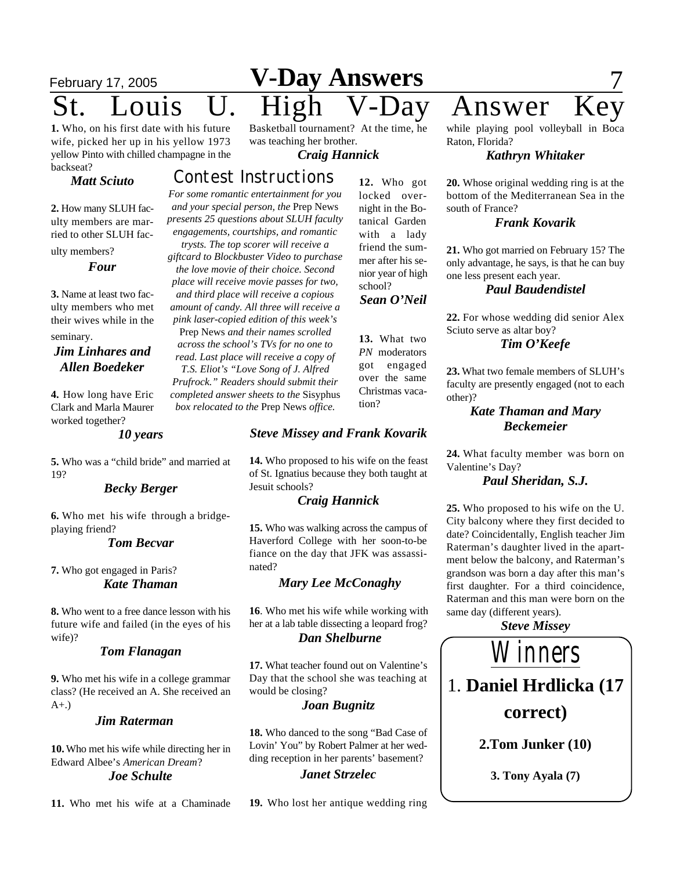# **February 17, 2005 V-Day Answers** 7

**1.** Who, on his first date with his future wife, picked her up in his yellow 1973 yellow Pinto with chilled champagne in the backseat?

#### *Matt Sciuto*

**2.** How many SLUH faculty members are married to other SLUH fac-

ulty members?

*Four*

**3.** Name at least two faculty members who met their wives while in the seminary.

#### *Jim Linhares and Allen Boedeker*

**4.** How long have Eric Clark and Marla Maurer worked together?

*10 years*

**5.** Who was a "child bride" and married at 19?

#### *Becky Berger*

**6.** Who met his wife through a bridgeplaying friend?

#### *Tom Becvar*

**7.** Who got engaged in Paris? *Kate Thaman*

**8.** Who went to a free dance lesson with his future wife and failed (in the eyes of his wife)?

#### *Tom Flanagan*

**9.** Who met his wife in a college grammar class? (He received an A. She received an A+.)

#### *Jim Raterman*

**10.** Who met his wife while directing her in Edward Albee's *American Dream*? *Joe Schulte*

**11.** Who met his wife at a Chaminade

Basketball tournament? At the time, he was teaching her brother.

#### *Craig Hannick*

**12.** Who got locked overnight in the Botanical Garden with a lady friend the summer after his senior year of high school?

*Sean O'Neil*

**13.** What two *PN* moderators got engaged over the same Christmas vaca-

tion?

#### *Contest Instructions*

*For some romantic entertainment for you and your special person, the* Prep News *presents 25 questions about SLUH faculty engagements, courtships, and romantic*

*trysts. The top scorer will receive a giftcard to Blockbuster Video to purchase the love movie of their choice. Second place will receive movie passes for two, and third place will receive a copious amount of candy. All three will receive a pink laser-copied edition of this week's* Prep News *and their names scrolled across the school's TVs for no one to read. Last place will receive a copy of T.S. Eliot's "Love Song of J. Alfred Prufrock." Readers should submit their completed answer sheets to the* Sisyphus *box relocated to the* Prep News *office.*

#### *Steve Missey and Frank Kovarik*

**14.** Who proposed to his wife on the feast of St. Ignatius because they both taught at Jesuit schools?

#### *Craig Hannick*

**15.** Who was walking across the campus of Haverford College with her soon-to-be fiance on the day that JFK was assassinated?

#### *Mary Lee McConaghy*

**16**. Who met his wife while working with her at a lab table dissecting a leopard frog? *Dan Shelburne*

**17.** What teacher found out on Valentine's Day that the school she was teaching at would be closing?

#### *Joan Bugnitz*

**18.** Who danced to the song "Bad Case of Lovin' You" by Robert Palmer at her wedding reception in her parents' basement? *Janet Strzelec*

**19.** Who lost her antique wedding ring

while playing pool volleyball in Boca

Raton, Florida?

#### *Kathryn Whitaker*

**20.** Whose original wedding ring is at the bottom of the Mediterranean Sea in the south of France?

#### *Frank Kovarik*

**21.** Who got married on February 15? The only advantage, he says, is that he can buy one less present each year.

#### *Paul Baudendistel*

**22.** For whose wedding did senior Alex Sciuto serve as altar boy?

#### *Tim O'Keefe*

**23.** What two female members of SLUH's faculty are presently engaged (not to each other)?

#### *Kate Thaman and Mary Beckemeier*

**24.** What faculty member was born on Valentine's Day?

#### *Paul Sheridan, S.J.*

**25.** Who proposed to his wife on the U. City balcony where they first decided to date? Coincidentally, English teacher Jim Raterman's daughter lived in the apartment below the balcony, and Raterman's grandson was born a day after this man's first daughter. For a third coincidence, Raterman and this man were born on the same day (different years).

*Steve Missey*



# ouis U. High V-Day Answer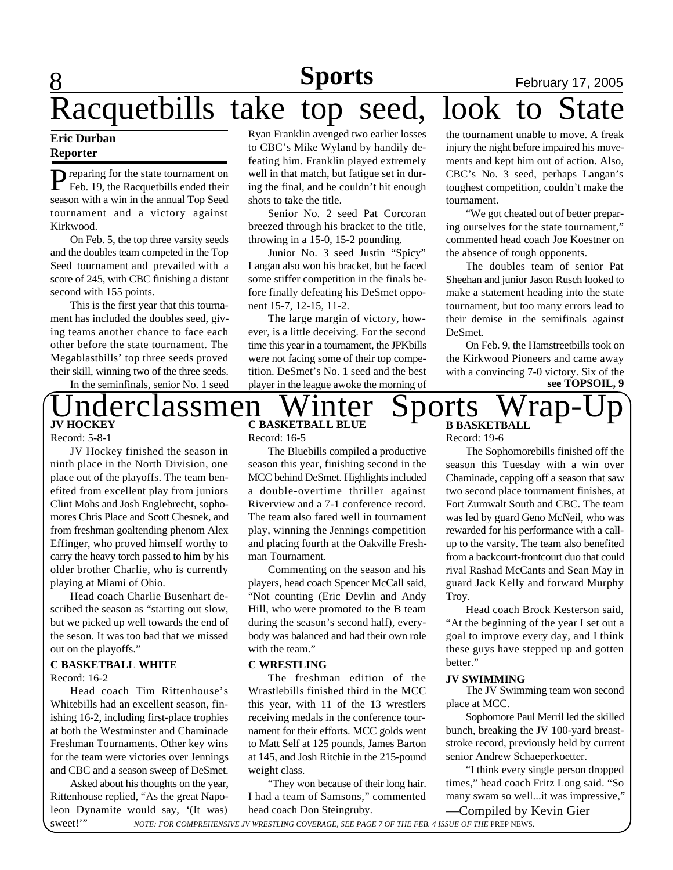**8 Sports** February 17, 2005

# Racquetbills take top seed, look to

#### **Eric Durban Reporter**

P reparing for the state tournament on<br>Feb. 19, the Racquetbills ended their **P**reparing for the state tournament on season with a win in the annual Top Seed tournament and a victory against Kirkwood.

On Feb. 5, the top three varsity seeds and the doubles team competed in the Top Seed tournament and prevailed with a score of 245, with CBC finishing a distant second with 155 points.

This is the first year that this tournament has included the doubles seed, giving teams another chance to face each other before the state tournament. The Megablastbills' top three seeds proved their skill, winning two of the three seeds.

In the seminfinals, senior No. 1 seed

Ryan Franklin avenged two earlier losses to CBC's Mike Wyland by handily defeating him. Franklin played extremely well in that match, but fatigue set in during the final, and he couldn't hit enough shots to take the title.

Senior No. 2 seed Pat Corcoran breezed through his bracket to the title, throwing in a 15-0, 15-2 pounding.

Junior No. 3 seed Justin "Spicy" Langan also won his bracket, but he faced some stiffer competition in the finals before finally defeating his DeSmet opponent 15-7, 12-15, 11-2.

The large margin of victory, however, is a little deceiving. For the second time this year in a tournament, the JPKbills were not facing some of their top competition. DeSmet's No. 1 seed and the best player in the league awoke the morning of the tournament unable to move. A freak injury the night before impaired his movements and kept him out of action. Also, CBC's No. 3 seed, perhaps Langan's toughest competition, couldn't make the tournament.

"We got cheated out of better preparing ourselves for the state tournament," commented head coach Joe Koestner on the absence of tough opponents.

The doubles team of senior Pat Sheehan and junior Jason Rusch looked to make a statement heading into the state tournament, but too many errors lead to their demise in the semifinals against DeSmet.

On Feb. 9, the Hamstreetbills took on the Kirkwood Pioneers and came away with a convincing 7-0 victory. Six of the **see TOPSOIL, 9**

#### $\bigcap_{\text{UCKEY}}$  derclassmen Winter Sports Wrap-**B BASKETBALL JV HOCKEY** Record: 5-8-1

JV Hockey finished the season in ninth place in the North Division, one place out of the playoffs. The team benefited from excellent play from juniors Clint Mohs and Josh Englebrecht, sophomores Chris Place and Scott Chesnek, and from freshman goaltending phenom Alex Effinger, who proved himself worthy to carry the heavy torch passed to him by his older brother Charlie, who is currently playing at Miami of Ohio.

Head coach Charlie Busenhart described the season as "starting out slow, but we picked up well towards the end of the seson. It was too bad that we missed out on the playoffs."

#### **C BASKETBALL WHITE**

Record: 16-2

Head coach Tim Rittenhouse's Whitebills had an excellent season, finishing 16-2, including first-place trophies at both the Westminster and Chaminade Freshman Tournaments. Other key wins for the team were victories over Jennings and CBC and a season sweep of DeSmet.

Asked about his thoughts on the year, Rittenhouse replied, "As the great Napoleon Dynamite would say, '(It was) sweet!"

Record: 16-5

The Bluebills compiled a productive season this year, finishing second in the MCC behind DeSmet. Highlights included a double-overtime thriller against Riverview and a 7-1 conference record. The team also fared well in tournament play, winning the Jennings competition and placing fourth at the Oakville Freshman Tournament.

Commenting on the season and his players, head coach Spencer McCall said, "Not counting (Eric Devlin and Andy Hill, who were promoted to the B team during the season's second half), everybody was balanced and had their own role with the team."

#### **C WRESTLING** better."

The freshman edition of the Wrastlebills finished third in the MCC this year, with 11 of the 13 wrestlers receiving medals in the conference tournament for their efforts. MCC golds went to Matt Self at 125 pounds, James Barton at 145, and Josh Ritchie in the 215-pound weight class.

"They won because of their long hair. I had a team of Samsons," commented head coach Don Steingruby.

Record: 19-6

The Sophomorebills finished off the season this Tuesday with a win over Chaminade, capping off a season that saw two second place tournament finishes, at Fort Zumwalt South and CBC. The team was led by guard Geno McNeil, who was rewarded for his performance with a callup to the varsity. The team also benefited from a backcourt-frontcourt duo that could rival Rashad McCants and Sean May in guard Jack Kelly and forward Murphy Troy.

Head coach Brock Kesterson said, "At the beginning of the year I set out a goal to improve every day, and I think these guys have stepped up and gotten

#### **JV SWIMMING**

The JV Swimming team won second place at MCC.

Sophomore Paul Merril led the skilled bunch, breaking the JV 100-yard breaststroke record, previously held by current senior Andrew Schaeperkoetter.

—Compiled by Kevin Gier "I think every single person dropped times," head coach Fritz Long said. "So many swam so well...it was impressive,"

*NOTE: FOR COMPREHENSIVE JV WRESTLING COVERAGE, SEE PAGE 7 OF THE FEB. 4 ISSUE OF THE* PREP NEWS.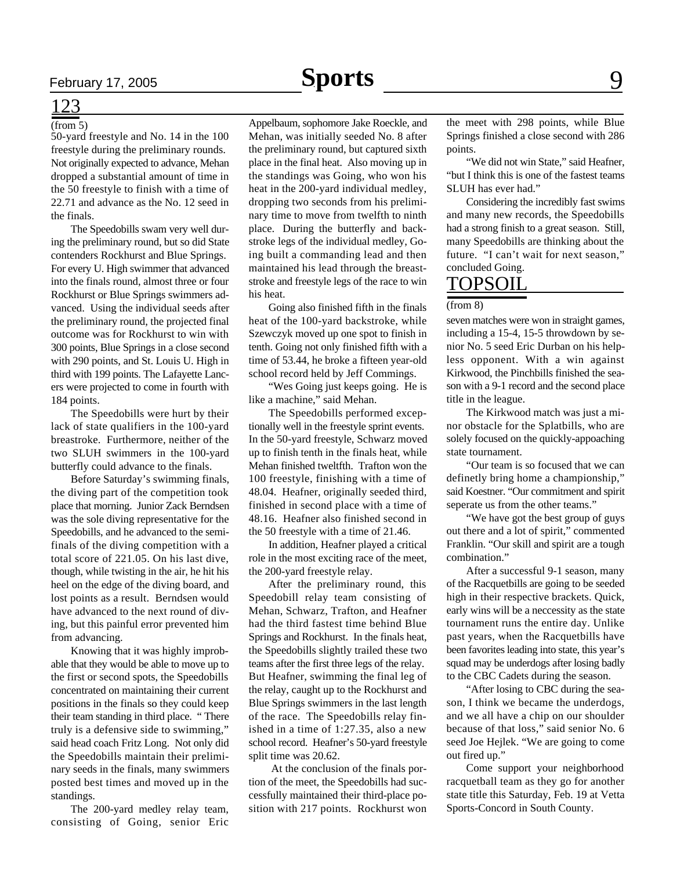### 123

#### (from 5)

50-yard freestyle and No. 14 in the 100 freestyle during the preliminary rounds. Not originally expected to advance, Mehan dropped a substantial amount of time in the 50 freestyle to finish with a time of 22.71 and advance as the No. 12 seed in the finals.

The Speedobills swam very well during the preliminary round, but so did State contenders Rockhurst and Blue Springs. For every U. High swimmer that advanced into the finals round, almost three or four Rockhurst or Blue Springs swimmers advanced. Using the individual seeds after the preliminary round, the projected final outcome was for Rockhurst to win with 300 points, Blue Springs in a close second with 290 points, and St. Louis U. High in third with 199 points. The Lafayette Lancers were projected to come in fourth with 184 points.

The Speedobills were hurt by their lack of state qualifiers in the 100-yard breastroke. Furthermore, neither of the two SLUH swimmers in the 100-yard butterfly could advance to the finals.

Before Saturday's swimming finals, the diving part of the competition took place that morning. Junior Zack Berndsen was the sole diving representative for the Speedobills, and he advanced to the semifinals of the diving competition with a total score of 221.05. On his last dive, though, while twisting in the air, he hit his heel on the edge of the diving board, and lost points as a result. Berndsen would have advanced to the next round of diving, but this painful error prevented him from advancing.

Knowing that it was highly improbable that they would be able to move up to the first or second spots, the Speedobills concentrated on maintaining their current positions in the finals so they could keep their team standing in third place. " There truly is a defensive side to swimming," said head coach Fritz Long. Not only did the Speedobills maintain their preliminary seeds in the finals, many swimmers posted best times and moved up in the standings.

The 200-yard medley relay team, consisting of Going, senior Eric

Appelbaum, sophomore Jake Roeckle, and Mehan, was initially seeded No. 8 after the preliminary round, but captured sixth place in the final heat. Also moving up in the standings was Going, who won his heat in the 200-yard individual medley, dropping two seconds from his preliminary time to move from twelfth to ninth place. During the butterfly and backstroke legs of the individual medley, Going built a commanding lead and then maintained his lead through the breaststroke and freestyle legs of the race to win his heat.

Going also finished fifth in the finals heat of the 100-yard backstroke, while Szewczyk moved up one spot to finish in tenth. Going not only finished fifth with a time of 53.44, he broke a fifteen year-old school record held by Jeff Commings.

"Wes Going just keeps going. He is like a machine," said Mehan.

The Speedobills performed exceptionally well in the freestyle sprint events. In the 50-yard freestyle, Schwarz moved up to finish tenth in the finals heat, while Mehan finished tweltfth. Trafton won the 100 freestyle, finishing with a time of 48.04. Heafner, originally seeded third, finished in second place with a time of 48.16. Heafner also finished second in the 50 freestyle with a time of 21.46.

In addition, Heafner played a critical role in the most exciting race of the meet, the 200-yard freestyle relay.

After the preliminary round, this Speedobill relay team consisting of Mehan, Schwarz, Trafton, and Heafner had the third fastest time behind Blue Springs and Rockhurst. In the finals heat, the Speedobills slightly trailed these two teams after the first three legs of the relay. But Heafner, swimming the final leg of the relay, caught up to the Rockhurst and Blue Springs swimmers in the last length of the race. The Speedobills relay finished in a time of 1:27.35, also a new school record. Heafner's 50-yard freestyle split time was 20.62.

 At the conclusion of the finals portion of the meet, the Speedobills had successfully maintained their third-place position with 217 points. Rockhurst won

the meet with 298 points, while Blue Springs finished a close second with 286 points.

"We did not win State," said Heafner, "but I think this is one of the fastest teams SLUH has ever had."

Considering the incredibly fast swims and many new records, the Speedobills had a strong finish to a great season. Still, many Speedobills are thinking about the future. "I can't wait for next season," concluded Going.

#### TOPSOIL

#### (from 8)

seven matches were won in straight games, including a 15-4, 15-5 throwdown by senior No. 5 seed Eric Durban on his helpless opponent. With a win against Kirkwood, the Pinchbills finished the season with a 9-1 record and the second place title in the league.

The Kirkwood match was just a minor obstacle for the Splatbills, who are solely focused on the quickly-appoaching state tournament.

"Our team is so focused that we can definetly bring home a championship," said Koestner. "Our commitment and spirit seperate us from the other teams."

"We have got the best group of guys out there and a lot of spirit," commented Franklin. "Our skill and spirit are a tough combination."

After a successful 9-1 season, many of the Racquetbills are going to be seeded high in their respective brackets. Quick, early wins will be a neccessity as the state tournament runs the entire day. Unlike past years, when the Racquetbills have been favorites leading into state, this year's squad may be underdogs after losing badly to the CBC Cadets during the season.

"After losing to CBC during the season, I think we became the underdogs, and we all have a chip on our shoulder because of that loss," said senior No. 6 seed Joe Hejlek. "We are going to come out fired up."

Come support your neighborhood racquetball team as they go for another state title this Saturday, Feb. 19 at Vetta Sports-Concord in South County.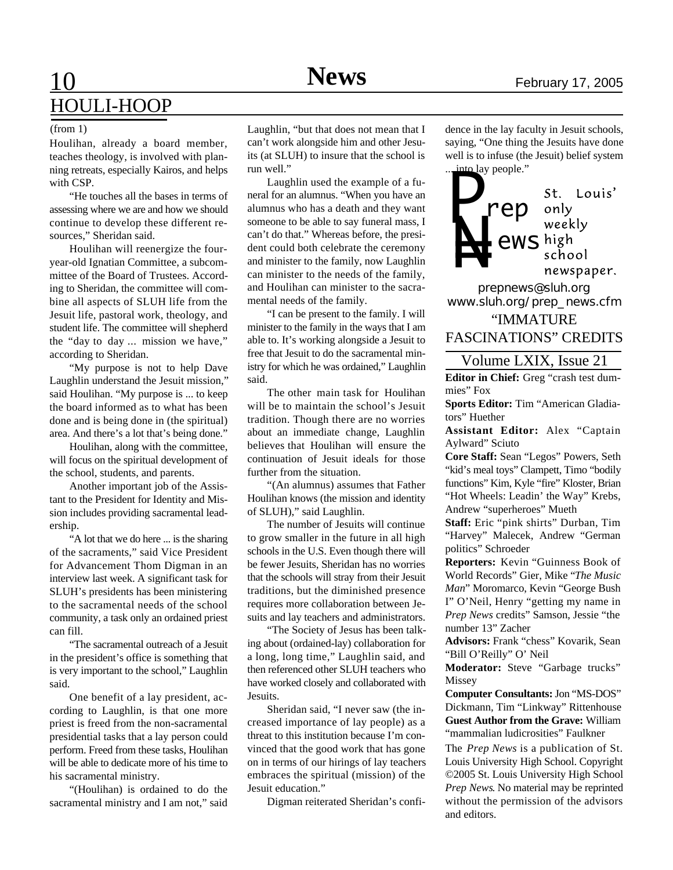### 10 **News** February 17, 2005 HOULI-HOOP

#### (from 1)

Houlihan, already a board member, teaches theology, is involved with planning retreats, especially Kairos, and helps with CSP.

"He touches all the bases in terms of assessing where we are and how we should continue to develop these different resources," Sheridan said.

Houlihan will reenergize the fouryear-old Ignatian Committee, a subcommittee of the Board of Trustees. According to Sheridan, the committee will combine all aspects of SLUH life from the Jesuit life, pastoral work, theology, and student life. The committee will shepherd the "day to day ... mission we have," according to Sheridan.

"My purpose is not to help Dave Laughlin understand the Jesuit mission," said Houlihan. "My purpose is ... to keep the board informed as to what has been done and is being done in (the spiritual) area. And there's a lot that's being done."

Houlihan, along with the committee, will focus on the spiritual development of the school, students, and parents.

Another important job of the Assistant to the President for Identity and Mission includes providing sacramental leadership.

"A lot that we do here ... is the sharing of the sacraments," said Vice President for Advancement Thom Digman in an interview last week. A significant task for SLUH's presidents has been ministering to the sacramental needs of the school community, a task only an ordained priest can fill.

"The sacramental outreach of a Jesuit in the president's office is something that is very important to the school," Laughlin said.

One benefit of a lay president, according to Laughlin, is that one more priest is freed from the non-sacramental presidential tasks that a lay person could perform. Freed from these tasks, Houlihan will be able to dedicate more of his time to his sacramental ministry.

"(Houlihan) is ordained to do the sacramental ministry and I am not," said

Laughlin, "but that does not mean that I can't work alongside him and other Jesuits (at SLUH) to insure that the school is run well."

Laughlin used the example of a funeral for an alumnus. "When you have an alumnus who has a death and they want someone to be able to say funeral mass, I can't do that." Whereas before, the president could both celebrate the ceremony and minister to the family, now Laughlin can minister to the needs of the family, and Houlihan can minister to the sacramental needs of the family.

"I can be present to the family. I will minister to the family in the ways that I am able to. It's working alongside a Jesuit to free that Jesuit to do the sacramental ministry for which he was ordained," Laughlin said.

The other main task for Houlihan will be to maintain the school's Jesuit tradition. Though there are no worries about an immediate change, Laughlin believes that Houlihan will ensure the continuation of Jesuit ideals for those further from the situation.

"(An alumnus) assumes that Father Houlihan knows (the mission and identity of SLUH)," said Laughlin.

The number of Jesuits will continue to grow smaller in the future in all high schools in the U.S. Even though there will be fewer Jesuits, Sheridan has no worries that the schools will stray from their Jesuit traditions, but the diminished presence requires more collaboration between Jesuits and lay teachers and administrators.

"The Society of Jesus has been talking about (ordained-lay) collaboration for a long, long time," Laughlin said, and then referenced other SLUH teachers who have worked closely and collaborated with Jesuits.

Sheridan said, "I never saw (the increased importance of lay people) as a threat to this institution because I'm convinced that the good work that has gone on in terms of our hirings of lay teachers embraces the spiritual (mission) of the Jesuit education."

Digman reiterated Sheridan's confi-

dence in the lay faculty in Jesuit schools, saying, "One thing the Jesuits have done well is to infuse (the Jesuit) belief system into lay people."



*prepnews@sluh.org www.sluh.org/prep\_news.cfm*

"IMMATURE FASCINATIONS" CREDITS

#### Volume LXIX, Issue 21

**Editor in Chief:** Greg "crash test dummies" Fox

**Sports Editor:** Tim "American Gladiators" Huether

**Assistant Editor:** Alex "Captain Aylward" Sciuto

**Core Staff:** Sean "Legos" Powers, Seth "kid's meal toys" Clampett, Timo "bodily functions" Kim, Kyle "fire" Kloster, Brian "Hot Wheels: Leadin' the Way" Krebs, Andrew "superheroes" Mueth

**Staff:** Eric "pink shirts" Durban, Tim "Harvey" Malecek, Andrew "German politics" Schroeder

**Reporters:** Kevin "Guinness Book of World Records" Gier, Mike "*The Music Man*" Moromarco, Kevin "George Bush I" O'Neil, Henry "getting my name in *Prep News* credits" Samson, Jessie "the number 13" Zacher

**Advisors:** Frank "chess" Kovarik, Sean "Bill O'Reilly" O' Neil

**Moderator:** Steve "Garbage trucks" Missey

**Computer Consultants:** Jon "MS-DOS" Dickmann, Tim "Linkway" Rittenhouse **Guest Author from the Grave:** William "mammalian ludicrosities" Faulkner

The *Prep News* is a publication of St. Louis University High School. Copyright ©2005 St. Louis University High School *Prep News*. No material may be reprinted without the permission of the advisors and editors.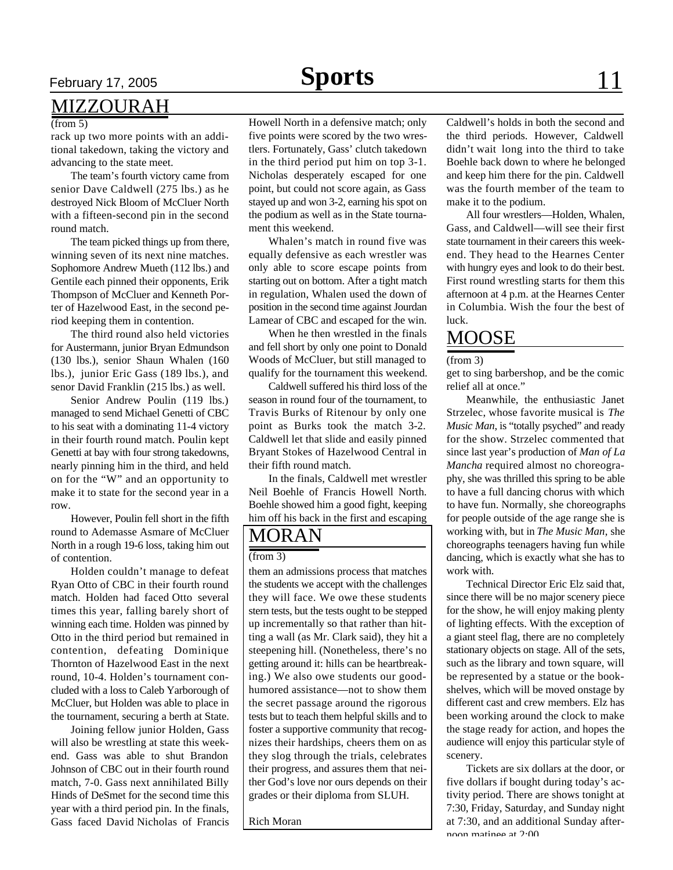#### MIZZOURAH

#### $(from 5)$

rack up two more points with an additional takedown, taking the victory and advancing to the state meet.

The team's fourth victory came from senior Dave Caldwell (275 lbs.) as he destroyed Nick Bloom of McCluer North with a fifteen-second pin in the second round match.

The team picked things up from there, winning seven of its next nine matches. Sophomore Andrew Mueth (112 lbs.) and Gentile each pinned their opponents, Erik Thompson of McCluer and Kenneth Porter of Hazelwood East, in the second period keeping them in contention.

The third round also held victories for Austermann, junior Bryan Edmundson (130 lbs.), senior Shaun Whalen (160 lbs.), junior Eric Gass (189 lbs.), and senor David Franklin (215 lbs.) as well.

Senior Andrew Poulin (119 lbs.) managed to send Michael Genetti of CBC to his seat with a dominating 11-4 victory in their fourth round match. Poulin kept Genetti at bay with four strong takedowns, nearly pinning him in the third, and held on for the "W" and an opportunity to make it to state for the second year in a row.

However, Poulin fell short in the fifth round to Ademasse Asmare of McCluer North in a rough 19-6 loss, taking him out of contention.

Holden couldn't manage to defeat Ryan Otto of CBC in their fourth round match. Holden had faced Otto several times this year, falling barely short of winning each time. Holden was pinned by Otto in the third period but remained in contention, defeating Dominique Thornton of Hazelwood East in the next round, 10-4. Holden's tournament concluded with a loss to Caleb Yarborough of McCluer, but Holden was able to place in the tournament, securing a berth at State.

Joining fellow junior Holden, Gass will also be wrestling at state this weekend. Gass was able to shut Brandon Johnson of CBC out in their fourth round match, 7-0. Gass next annihilated Billy Hinds of DeSmet for the second time this year with a third period pin. In the finals, Gass faced David Nicholas of Francis Howell North in a defensive match; only five points were scored by the two wrestlers. Fortunately, Gass' clutch takedown in the third period put him on top 3-1. Nicholas desperately escaped for one point, but could not score again, as Gass stayed up and won 3-2, earning his spot on the podium as well as in the State tournament this weekend.

Whalen's match in round five was equally defensive as each wrestler was only able to score escape points from starting out on bottom. After a tight match in regulation, Whalen used the down of position in the second time against Jourdan Lamear of CBC and escaped for the win.

When he then wrestled in the finals and fell short by only one point to Donald Woods of McCluer, but still managed to qualify for the tournament this weekend.

Caldwell suffered his third loss of the season in round four of the tournament, to Travis Burks of Ritenour by only one point as Burks took the match 3-2. Caldwell let that slide and easily pinned Bryant Stokes of Hazelwood Central in their fifth round match.

In the finals, Caldwell met wrestler Neil Boehle of Francis Howell North. Boehle showed him a good fight, keeping him off his back in the first and escaping

### MORAN

#### $(from 3)$

them an admissions process that matches the students we accept with the challenges they will face. We owe these students stern tests, but the tests ought to be stepped up incrementally so that rather than hitting a wall (as Mr. Clark said), they hit a steepening hill. (Nonetheless, there's no getting around it: hills can be heartbreaking.) We also owe students our goodhumored assistance—not to show them the secret passage around the rigorous tests but to teach them helpful skills and to foster a supportive community that recognizes their hardships, cheers them on as they slog through the trials, celebrates their progress, and assures them that neither God's love nor ours depends on their grades or their diploma from SLUH.

Rich Moran

#### Caldwell's holds in both the second and the third periods. However, Caldwell didn't wait long into the third to take Boehle back down to where he belonged and keep him there for the pin. Caldwell was the fourth member of the team to make it to the podium.

All four wrestlers—Holden, Whalen, Gass, and Caldwell—will see their first state tournament in their careers this weekend. They head to the Hearnes Center with hungry eyes and look to do their best. First round wrestling starts for them this afternoon at 4 p.m. at the Hearnes Center in Columbia. Wish the four the best of luck.

### MOOSE

#### (from 3)

get to sing barbershop, and be the comic relief all at once."

Meanwhile, the enthusiastic Janet Strzelec, whose favorite musical is *The Music Man*, is "totally psyched" and ready for the show. Strzelec commented that since last year's production of *Man of La Mancha* required almost no choreography, she was thrilled this spring to be able to have a full dancing chorus with which to have fun. Normally, she choreographs for people outside of the age range she is working with, but in *The Music Man*, she choreographs teenagers having fun while dancing, which is exactly what she has to work with.

Technical Director Eric Elz said that, since there will be no major scenery piece for the show, he will enjoy making plenty of lighting effects. With the exception of a giant steel flag, there are no completely stationary objects on stage. All of the sets, such as the library and town square, will be represented by a statue or the bookshelves, which will be moved onstage by different cast and crew members. Elz has been working around the clock to make the stage ready for action, and hopes the audience will enjoy this particular style of scenery.

Tickets are six dollars at the door, or five dollars if bought during today's activity period. There are shows tonight at 7:30, Friday, Saturday, and Sunday night at 7:30, and an additional Sunday afternoon matinee at 2:00.